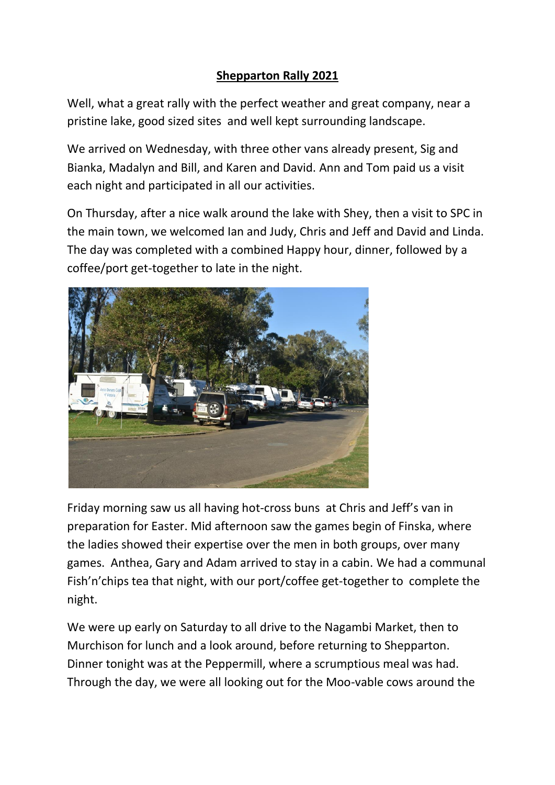## **Shepparton Rally 2021**

Well, what a great rally with the perfect weather and great company, near a pristine lake, good sized sites and well kept surrounding landscape.

We arrived on Wednesday, with three other vans already present, Sig and Bianka, Madalyn and Bill, and Karen and David. Ann and Tom paid us a visit each night and participated in all our activities.

On Thursday, after a nice walk around the lake with Shey, then a visit to SPC in the main town, we welcomed Ian and Judy, Chris and Jeff and David and Linda. The day was completed with a combined Happy hour, dinner, followed by a coffee/port get-together to late in the night.



Friday morning saw us all having hot-cross buns at Chris and Jeff's van in preparation for Easter. Mid afternoon saw the games begin of Finska, where the ladies showed their expertise over the men in both groups, over many games. Anthea, Gary and Adam arrived to stay in a cabin. We had a communal Fish'n'chips tea that night, with our port/coffee get-together to complete the night.

We were up early on Saturday to all drive to the Nagambi Market, then to Murchison for lunch and a look around, before returning to Shepparton. Dinner tonight was at the Peppermill, where a scrumptious meal was had. Through the day, we were all looking out for the Moo-vable cows around the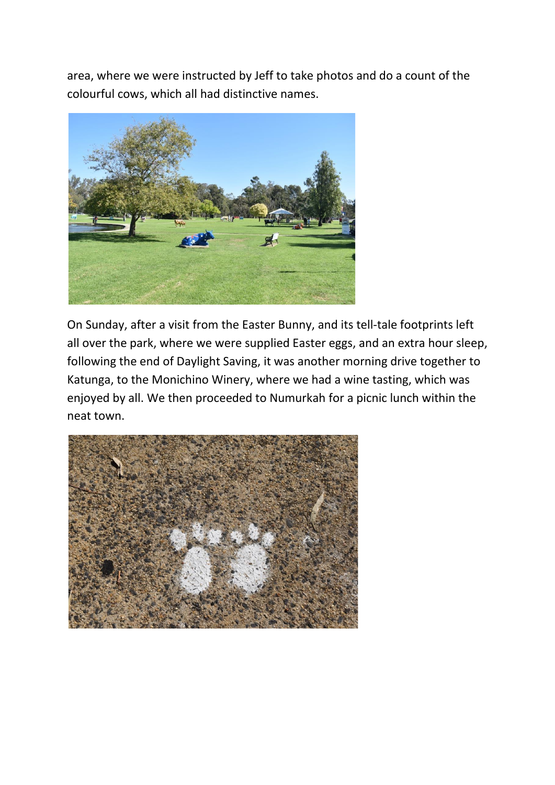area, where we were instructed by Jeff to take photos and do a count of the colourful cows, which all had distinctive names.



On Sunday, after a visit from the Easter Bunny, and its tell-tale footprints left all over the park, where we were supplied Easter eggs, and an extra hour sleep, following the end of Daylight Saving, it was another morning drive together to Katunga, to the Monichino Winery, where we had a wine tasting, which was enjoyed by all. We then proceeded to Numurkah for a picnic lunch within the neat town.